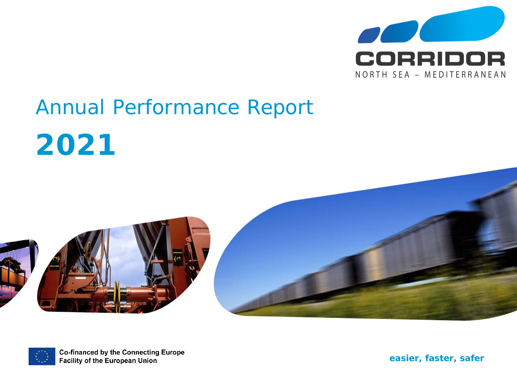

# Annual Performance Report







**Co-financed by the Connecting Europe Facility of the European Union** 

*easier, faster, safer*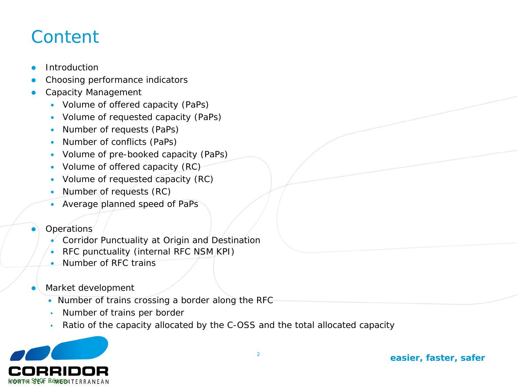#### **Content**

- **Introduction**
- Choosing performance indicators
- Capacity Management
	- Volume of offered capacity (PaPs)
	- Volume of requested capacity (PaPs)
	- Number of requests (PaPs)
	- Number of conflicts (PaPs)
	- Volume of pre-booked capacity (PaPs)
	- Volume of offered capacity (RC)
	- Volume of requested capacity (RC)
	- Number of requests (RC)
	- Average planned speed of PaPs
- **Operations** 
	- Corridor Punctuality at Origin and Destination
	- RFC punctuality (internal RFC NSM KPI)
	- Number of RFC trains
- Market development
	- Number of trains crossing a border along the RFC
	- Number of trains per border
	- Ratio of the capacity allocated by the C-OSS and the total allocated capacity

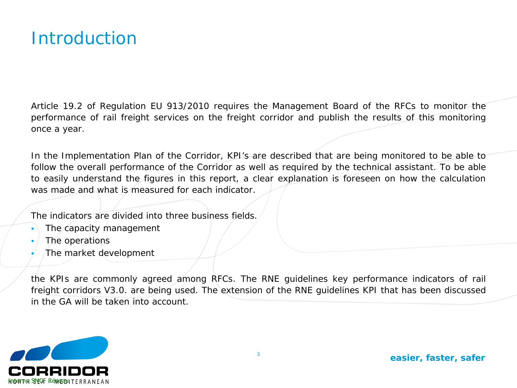#### **Introduction**

Article 19.2 of Regulation EU 913/2010 requires the Management Board of the RFCs to monitor the performance of rail freight services on the freight corridor and publish the results of this monitoring once a year.

In the Implementation Plan of the Corridor, KPI's are described that are being monitored to be able to follow the overall performance of the Corridor as well as required by the technical assistant. To be able to easily understand the figures in this report, a clear explanation is foreseen on how the calculation was made and what is measured for each indicator.

The indicators are divided into three business fields.

- The capacity management
- The operations
- The market development

the KPIs are commonly agreed among RFCs. The RNE guidelines key performance indicators of rail freight corridors V3.0. are being used. The extension of the RNE guidelines KPI that has been discussed in the GA will be taken into account.

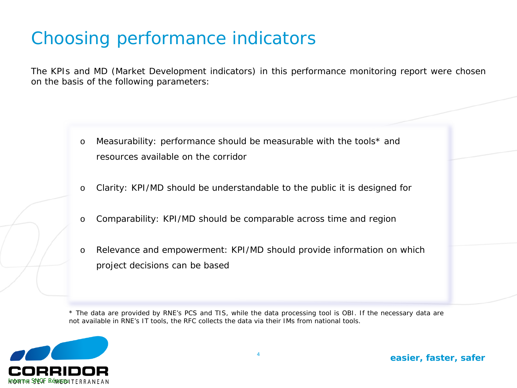## Choosing performance indicators

The KPIs and MD (Market Development indicators) in this performance monitoring report were chosen on the basis of the following parameters:

- o Measurability: performance should be measurable with the tools\* and resources available on the corridor
- o Clarity: KPI/MD should be understandable to the public it is designed for
- o Comparability: KPI/MD should be comparable across time and region
- o Relevance and empowerment: KPI/MD should provide information on which project decisions can be based

\* The data are provided by RNE's PCS and TIS, while the data processing tool is OBI. If the necessary data are *not available in RNE's IT tools, the RFC collects the data via their IMs from national tools.*

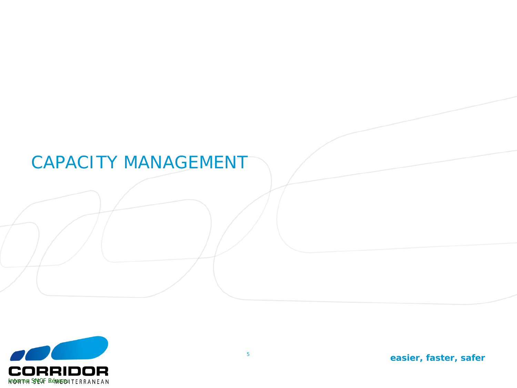#### CAPACITY MANAGEMENT

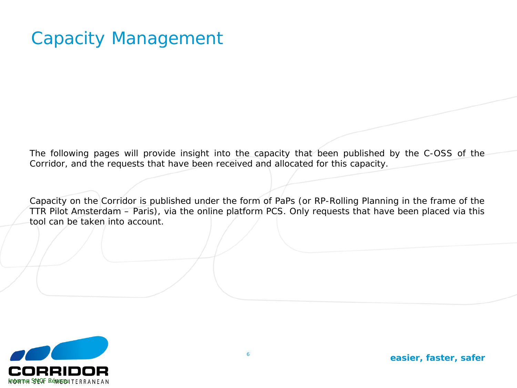#### Capacity Management

The following pages will provide insight into the capacity that been published by the C-OSS of the Corridor, and the requests that have been received and allocated for this capacity.

Capacity on the Corridor is published under the form of PaPs (or RP-Rolling Planning in the frame of the TTR Pilot Amsterdam – Paris), via the online platform PCS. Only requests that have been placed via this tool can be taken into account.

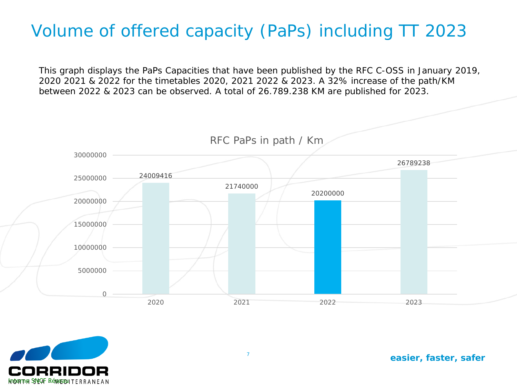#### Volume of offered capacity (PaPs) including TT 2023

This graph displays the PaPs Capacities that have been published by the RFC C-OSS in January 2019, 2020 2021 & 2022 for the timetables 2020, 2021 2022 & 2023. A 32% increase of the path/KM between 2022 & 2023 can be observed. A total of 26.789.238 KM are published for 2023.



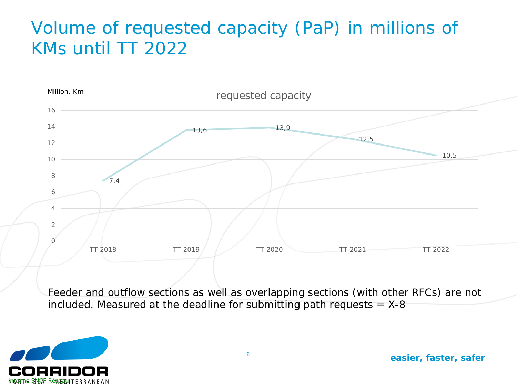### Volume of requested capacity (PaP) in millions of KMs until TT 2022



Feeder and outflow sections as well as overlapping sections (with other RFCs) are not included. Measured at the deadline for submitting path requests  $=$  X-8

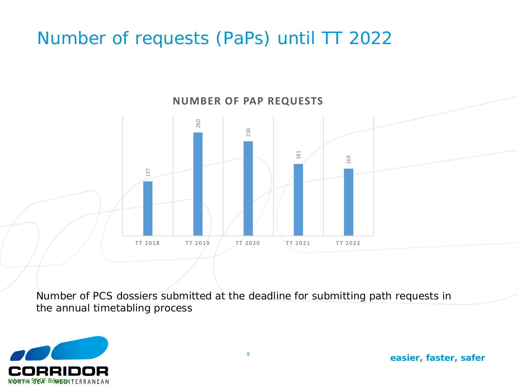### Number of requests (PaPs) until TT 2022



Number of PCS dossiers submitted at the deadline for submitting path requests in

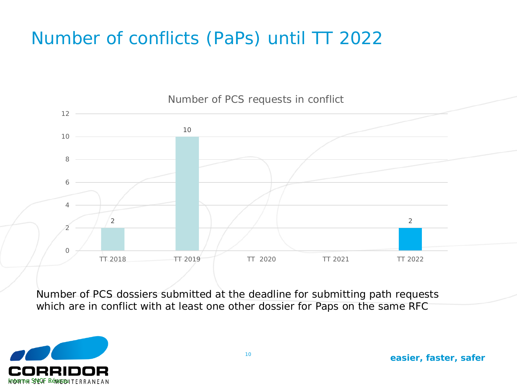## Number of conflicts (PaPs) until TT 2022



Number of PCS dossiers submitted at the deadline for submitting path requests which are in conflict with at least one other dossier for Paps on the same RFC

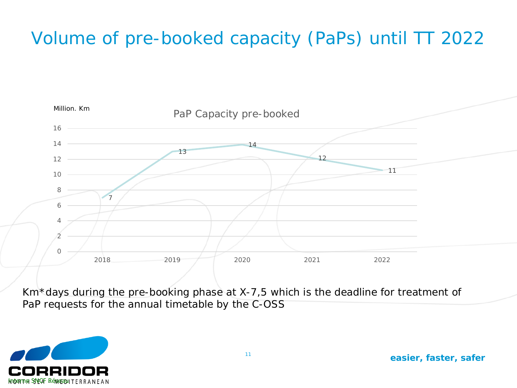# Volume of pre-booked capacity (PaPs) until TT 2022



Km\*days during the pre-booking phase at X-7,5 which is the deadline for treatment of PaP requests for the annual timetable by the C-OSS

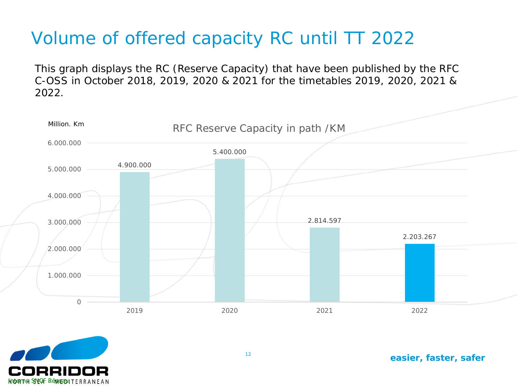## Volume of offered capacity RC until TT 2022

This graph displays the RC (Reserve Capacity) that have been published by the RFC C-OSS in October 2018, 2019, 2020 & 2021 for the timetables 2019, 2020, 2021 & 2022.



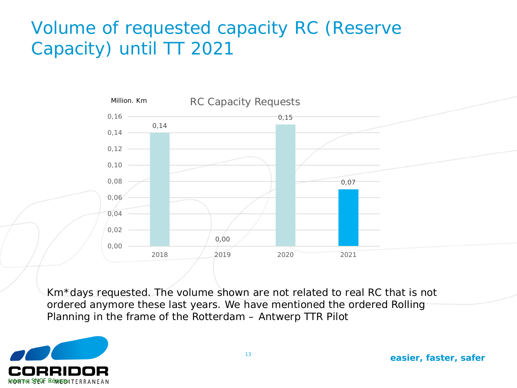## Volume of requested capacity RC (Reserve Capacity) until TT 2021



Km\*days requested. The volume shown are not related to real RC that is not ordered anymore these last years. We have mentioned the ordered Rolling Planning in the frame of the Rotterdam – Antwerp TTR Pilot

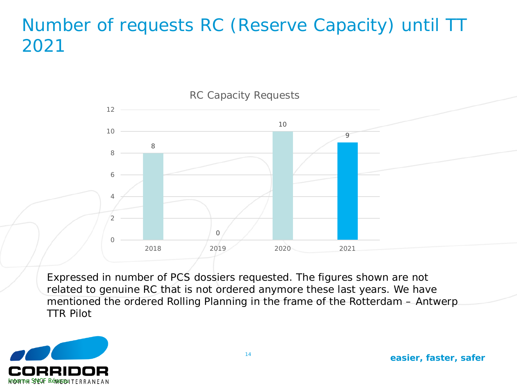#### Number of requests RC (Reserve Capacity) until TT



Expressed in number of PCS dossiers requested. The figures shown are not related to genuine RC that is not ordered anymore these last years. We have mentioned the ordered Rolling Planning in the frame of the Rotterdam – Antwerp TTR Pilot

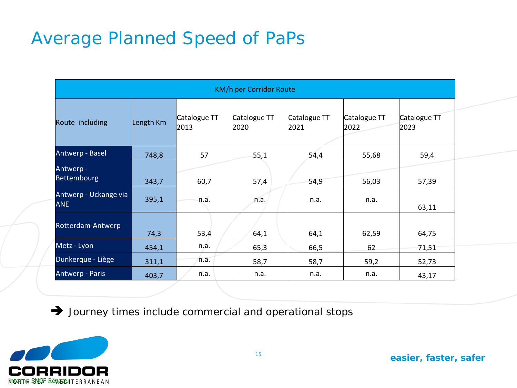#### Average Planned Speed of PaPs

|                                     |           |                      | <b>KM/h per Corridor Route</b> |                      |                      |                      |
|-------------------------------------|-----------|----------------------|--------------------------------|----------------------|----------------------|----------------------|
| Route including                     | Length Km | Catalogue TT<br>2013 | Catalogue TT<br>2020           | Catalogue TT<br>2021 | Catalogue TT<br>2022 | Catalogue TT<br>2023 |
| Antwerp - Basel                     | 748,8     | 57                   | 55,1                           | 54,4                 | 55,68                | 59,4                 |
| Antwerp -<br>Bettembourg            | 343,7     | 60,7                 | 57,4                           | 54,9                 | 56,03                | 57,39                |
| Antwerp - Uckange via<br><b>ANE</b> | 395,1     | n.a.                 | n.a.                           | n.a.                 | n.a.                 | 63,11                |
| Rotterdam-Antwerp                   | 74,3      | 53,4                 | 64,1                           | 64,1                 | 62,59                | 64,75                |
| Metz - Lyon                         | 454,1     | n.a.                 | 65,3                           | 66,5                 | 62                   | 71,51                |
| Dunkerque - Liège                   | 311,1     | n.a.                 | 58,7                           | 58,7                 | 59,2                 | 52,73                |
| Antwerp - Paris                     | 403,7     | n.a.                 | n.a.                           | n.a.                 | n.a.                 | 43,17                |

 $\rightarrow$  Journey times include commercial and operational stops

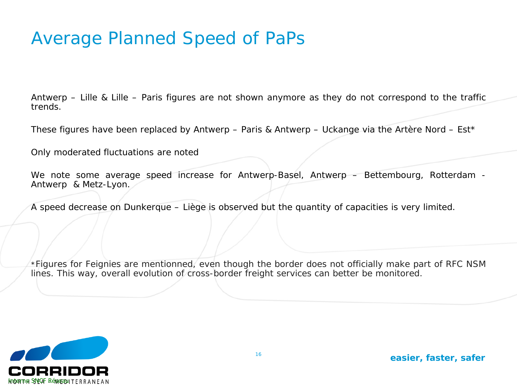#### Average Planned Speed of PaPs

Antwerp – Lille & Lille – Paris figures are not shown anymore as they do not correspond to the traffic trends.

These figures have been replaced by Antwerp – Paris & Antwerp – Uckange via the Artère Nord – Est\*

Only moderated fluctuations are noted

We note some average speed increase for Antwerp-Basel, Antwerp – Bettembourg, Rotterdam - Antwerp & Metz-Lyon.

A speed decrease on Dunkerque – Liège is observed but the quantity of capacities is very limited.

*\*Figures for Feignies are mentionned, even though the border does not officially make part of RFC NSM lines. This way, overall evolution of cross-border freight services can better be monitored.*

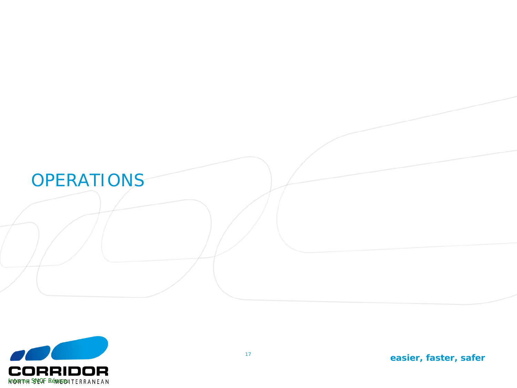

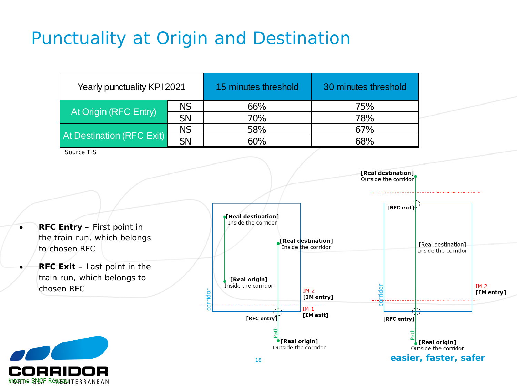## Punctuality at Origin and Destination

| Yearly punctuality KPI 2021 |           | 15 minutes threshold | 30 minutes threshold |  |
|-----------------------------|-----------|----------------------|----------------------|--|
| At Origin (RFC Entry)       | NS.       | 66%                  | 75%                  |  |
|                             | <b>SN</b> | 70%                  | 78%                  |  |
|                             | <b>NS</b> | 58%                  | 67%                  |  |
| At Destination (RFC Exit)   | <b>SN</b> | 60%                  | 68%                  |  |

*Source TIS*

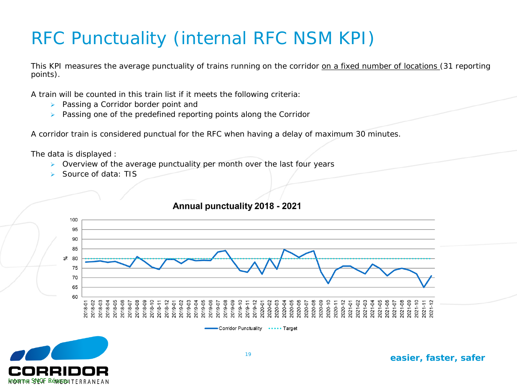# RFC Punctuality (internal RFC NSM KPI)

This KPI measures the average punctuality of trains running on the corridor on a fixed number of locations (31 reporting points).

A train will be counted in this train list if it meets the following criteria:

- **Passing a Corridor border point and**
- $\triangleright$  Passing one of the predefined reporting points along the Corridor

A corridor train is considered punctual for the RFC when having a delay of maximum 30 minutes.

The data is displayed :

- $\triangleright$  Overview of the average punctuality per month over the last four years
- Source of data: TIS



Annual punctuality 2018 - 2021

Corridor Punctuality .... Target

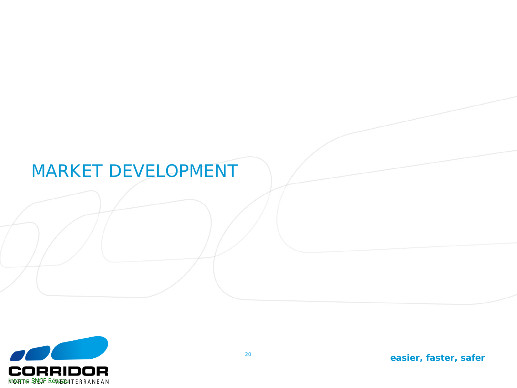#### MARKET DEVELOPMENT

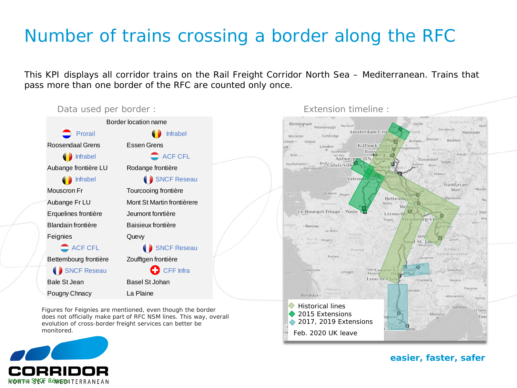#### Number of trains crossing a border along the RFC

This KPI displays all corridor trains on the Rail Freight Corridor North Sea – Mediterranean. Trains that pass more than one border of the RFC are counted only once.

◆ 2015 Extensions

Feb. 2020 UK leave

2017, 2019 Extensions



Figures for Feignies are mentioned, even though the border does not officially make part of RFC NSM lines. This way, overall evolution of cross-border freight services can better be monitored.



*easier, faster, safer*

Monaco

Zwolle

Aachen Ronn

Wol

□

Strasbourg-Vill

**Basel St. Jakob** 

**O** 

renoble

Charle

Lausan

Chambén

Osnabruck

Sieger

Koblenz

Bielefeld

Frankfurt am Main

Zürich

Schweizi

Suisse/Svizzera

Svizra<sup>®</sup>

Verbania

Novara

Alessandria

Genova

Piacenza

Parma

La Spezia

Firer

Kassel

Munster of

Dusseldorf

Hannover

Wurzbe

Nü

Ingo

As in

Ulm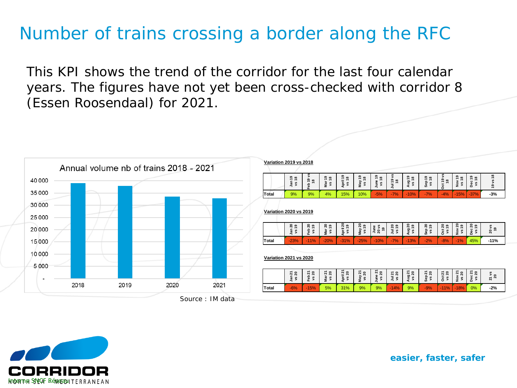#### Number of trains crossing a border along the RFC

This KPI shows the trend of the corridor for the last four calendar years. The figures have not yet been cross-checked with corridor 8 (Essen Roosendaal) for 2021.



Inderthe SNEOF Rénaerabliter RANEAN

|       | Jan 19<br>vs18                | Feb 19 vs<br>\$                    | <b>Mar 19</b><br>vs18    | April 19<br>vs18   | May 19<br>vs 18 | June 19<br>vs18                | Jul 19 vs<br>$\frac{8}{2}$ | 5<br>$\frac{8}{1}$<br>Aug<br>š | Sep 19<br>vs18     | <b>Dct 19 vs</b><br>$\frac{8}{2}$ | Nov 19<br>vs18                       | Dec 19<br>vs18            | 19 vs 18               |
|-------|-------------------------------|------------------------------------|--------------------------|--------------------|-----------------|--------------------------------|----------------------------|--------------------------------|--------------------|-----------------------------------|--------------------------------------|---------------------------|------------------------|
| Total | 9%                            | 9%                                 | 4%                       | 15%                | 10%             | $-5%$                          | $-7%$                      | $-10%$                         | $-7%$              | $-4%$                             | $-15%$                               | $-37%$                    | $-3%$                  |
|       | <b>Variation 2020 vs 2019</b> |                                    |                          |                    |                 |                                |                            |                                |                    |                                   |                                      |                           |                        |
|       | Jan 20<br>6,<br>š             | $\boldsymbol{5}$<br>e,<br>Feb<br>š | <b>Mar 20</b><br>ę,<br>š | vs 19              | May 20<br>vs 19 | June<br>20 vs<br>$\frac{9}{2}$ | Jul 20<br>e,<br>ys         | Aug 20<br>6<br>š               | Sep 20<br>é,<br>ys | Oct 20<br>v s 19                  | <b>Nov 20</b><br>$\frac{6}{2}$<br>Š, | <b>Dec 20</b><br>é,<br>ys | 20 vs<br>$\frac{9}{2}$ |
|       | $-23%$                        | $-11%$                             | $-20%$                   | April 20<br>$-31%$ | $-25%$          | $-10%$                         | $-7%$                      | $-13%$                         | $-2%$              | $-8%$                             | $-1%$                                | 45%                       | $-11%$                 |
| Total |                               |                                    |                          |                    |                 |                                |                            |                                |                    |                                   |                                      |                           |                        |

**Total** -6% -15% 5% 31% 9% 9% -14% 9% -9% -11% -18% 0% **-2%**

*easier, faster, safer*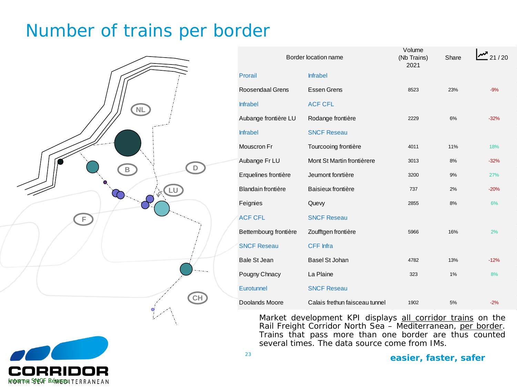#### Number of trains per border



|                         | Border location name           | Volume<br>(Nb Trains)<br>2021 | Share | 21/20  |
|-------------------------|--------------------------------|-------------------------------|-------|--------|
| Prorail                 | <b>Infrabel</b>                |                               |       |        |
| <b>Roosendaal Grens</b> | <b>Essen Grens</b>             | 8523                          | 23%   | $-9%$  |
| <b>Infrabel</b>         | <b>ACF CFL</b>                 |                               |       |        |
| Aubange frontière LU    | Rodange frontière              | 2229                          | 6%    | $-32%$ |
| <b>Infrabel</b>         | <b>SNCF Reseau</b>             |                               |       |        |
| Mouscron Fr             | Tourcooing frontière           | 4011                          | 11%   | 18%    |
| Aubange Fr LU           | Mont St Martin frontièrere     | 3013                          | 8%    | $-32%$ |
| Erquelines frontière    | Jeumont fonrtière              | 3200                          | 9%    | 27%    |
| Blandain frontière      | Baisieux frontière             | 737                           | 2%    | $-20%$ |
| Feignies                | Quevy                          | 2855                          | 8%    | 6%     |
| <b>ACF CFL</b>          | <b>SNCF Reseau</b>             |                               |       |        |
| Bettembourg frontière   | Zoufftgen frontière            | 5966                          | 16%   | 2%     |
| <b>SNCF Reseau</b>      | <b>CFF</b> Infra               |                               |       |        |
| <b>Bale St Jean</b>     | <b>Basel St Johan</b>          | 4782                          | 13%   | $-12%$ |
| Pougny Chnacy           | La Plaine                      | 323                           | 1%    | 8%     |
| Eurotunnel              | <b>SNCF Reseau</b>             |                               |       |        |
| Doolands Moore          | Calais frethun faisceau tunnel | 1902                          | 5%    | $-2%$  |

Market development KPI displays all corridor trains on the Rail Freight Corridor North Sea - Mediterranean, per border. Trains that pass more than one border are thus counted several times. The data source come from IMs.

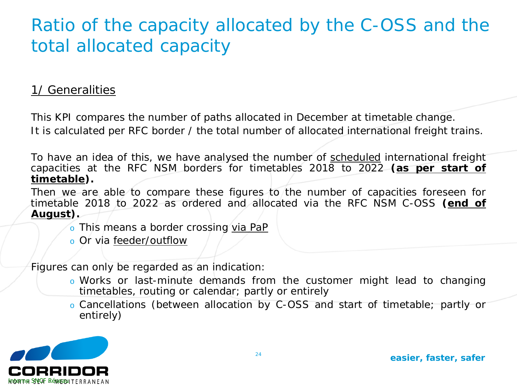#### Ratio of the capacity allocated by the C-OSS and the total allocated capacity

#### 1/ Generalities

This KPI compares the number of paths allocated in December at timetable change. It is calculated per RFC border / the total number of allocated international freight trains.

To have an idea of this, we have analysed the number of scheduled international freight capacities at the RFC NSM borders for timetables 2018 to 2022 **(as per start of timetable).**

Then we are able to compare these figures to the number of capacities foreseen for timetable 2018 to 2022 as ordered and allocated via the RFC NSM C-OSS **(end of August).**

- o This means a border crossing via PaP
- o Or via feeder/outflow

Figures can only be regarded as an indication:

- o Works or last-minute demands from the customer might lead to changing timetables, routing or calendar; partly or entirely
- o Cancellations (between allocation by C-OSS and start of timetable; partly or entirely)

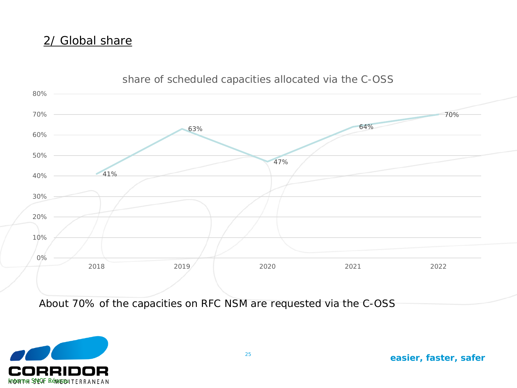#### 2/ Global share



#### share of scheduled capacities allocated via the C-OSS

About 70% of the capacities on RFC NSM are requested via the C-OSS

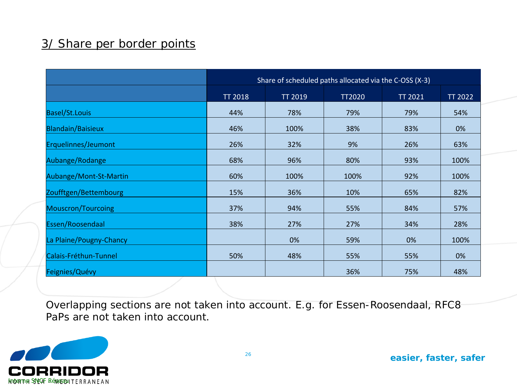#### 3/ Share per border points

|                          |                |                | Share of scheduled paths allocated via the C-OSS (X-3) |                |                |
|--------------------------|----------------|----------------|--------------------------------------------------------|----------------|----------------|
|                          | <b>TT 2018</b> | <b>TT 2019</b> | <b>TT2020</b>                                          | <b>TT 2021</b> | <b>TT 2022</b> |
| <b>Basel/St.Louis</b>    | 44%            | 78%            | 79%                                                    | 79%            | 54%            |
| <b>Blandain/Baisieux</b> | 46%            | 100%           | 38%                                                    | 83%            | 0%             |
| Erquelinnes/Jeumont      | 26%            | 32%            | 9%                                                     | 26%            | 63%            |
| Aubange/Rodange          | 68%            | 96%            | 80%                                                    | 93%            | 100%           |
| Aubange/Mont-St-Martin   | 60%            | 100%           | 100%                                                   | 92%            | 100%           |
| Zoufftgen/Bettembourg    | 15%            | 36%            | 10%                                                    | 65%            | 82%            |
| Mouscron/Tourcoing       | 37%            | 94%            | 55%                                                    | 84%            | 57%            |
| Essen/Roosendaal         | 38%            | 27%            | 27%                                                    | 34%            | 28%            |
| La Plaine/Pougny-Chancy  |                | 0%             | 59%                                                    | 0%             | 100%           |
| Calais-Fréthun-Tunnel    | 50%            | 48%            | 55%                                                    | 55%            | 0%             |
| Feignies/Quévy           |                |                | 36%                                                    | 75%            | 48%            |

Overlapping sections are not taken into account. E.g. for Essen-Roosendaal, RFC8 PaPs are not taken into account.